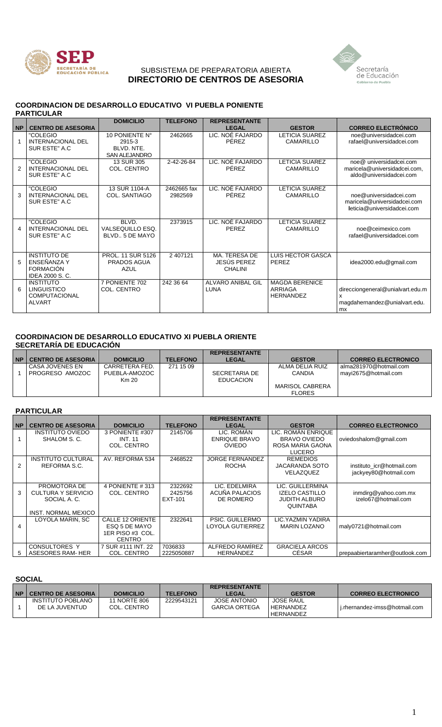

## SUBSISTEMA DE PREPARATORIA ABIERTA **DIRECTORIO DE CENTROS DE ASESORIA**



#### **COORDINACION DE DESARROLLO EDUCATIVO VI PUEBLA PONIENTE PARTICULAR**

|               |                                                                                 | <b>DOMICILIO</b>                                               | <b>TELEFONO</b>        | <b>REPRESENTANTE</b>                           |                                                             |                                                                                          |
|---------------|---------------------------------------------------------------------------------|----------------------------------------------------------------|------------------------|------------------------------------------------|-------------------------------------------------------------|------------------------------------------------------------------------------------------|
| <b>NP</b>     | <b>CENTRO DE ASESORIA</b>                                                       |                                                                |                        | <b>LEGAL</b>                                   | <b>GESTOR</b>                                               | <b>CORREO ELECTRÓNICO</b>                                                                |
| $\mathbf{1}$  | "COLEGIO<br><b>INTERNACIONAL DEL</b><br>SUR ESTE" A.C                           | 10 PONIENTE N°<br>2915-3<br>BLVD, NTE.<br><b>SAN ALEJANDRO</b> | 2462665                | LIC. NOÉ FAJARDO<br>PÉREZ                      | <b>LETICIA SUAREZ</b><br>CAMARILLO                          | noe@universidadcei.com<br>rafael@universidadcei.com                                      |
| $\mathcal{P}$ | "COLEGIO<br><b>INTERNACIONAL DEL</b><br>SUR ESTE" A.C.                          | 13 SUR 305<br>COL. CENTRO                                      | 2-42-26-84             | LIC. NOÉ FAJARDO<br>PÉREZ                      | <b>LETICIA SUAREZ</b><br>CAMARILLO                          | noe@ universidadcei.com<br>maricela@universidadcei.com,<br>aldo@universidadcei.com       |
| 3             | "COLEGIO<br><b>INTERNACIONAL DEL</b><br>SUR ESTE" A.C                           | 13 SUR 1104-A<br><b>COL. SANTIAGO</b>                          | 2462665 fax<br>2982569 | LIC. NOÉ FAJARDO<br><b>PFRFZ</b>               | <b>LETICIA SUAREZ</b><br><b>CAMARILLO</b>                   | noe@universidadcei.com<br>maricela@universidadcei.com<br>leticia@universidadcei.com      |
| 4             | "COLEGIO<br><b>INTERNACIONAL DEL</b><br>SUR ESTE" A.C.                          | BLVD.<br>VALSEQUILLO ESQ.<br>BLVD., 5 DE MAYO                  | 2373915                | LIC. NOÉ FAJARDO<br><b>PEREZ</b>               | <b>LETICIA SUAREZ</b><br><b>CAMARILLO</b>                   | noe@ceimexico.com<br>rafael@universidadcei.com                                           |
| 5             | <b>INSTITUTO DE</b><br>ENSEÑANZA Y<br><b>FORMACIÓN</b><br><b>IDEA 2000 S.C.</b> | PROL. 11 SUR 5126<br><b>PRADOS AGUA</b><br>AZUL                | 2 407121               | MA. TERESA DE<br>JESÚS PEREZ<br><b>CHALINI</b> | <b>LUIS HECTOR GASCA</b><br>PEREZ                           | idea2000.edu@gmail.com                                                                   |
| 6             | <b>INSTITUTO</b><br><b>LINGUISTICO</b><br><b>COMPUTACIONAL</b><br><b>ALVART</b> | 7 PONIENTE 702<br>COL. CENTRO                                  | 242 36 64              | ALVARO ANIBAL GIL<br>LUNA                      | <b>MAGDA BERENICE</b><br><b>ARRIAGA</b><br><b>HERNANDEZ</b> | direcciongeneral@unialvart.edu.m<br>X<br>magdahernandez@unialvart.edu.<br>m <sub>x</sub> |

#### **COORDINACION DE DESARROLLO EDUCATIVO XI PUEBLA ORIENTE SECRETARÍA DE EDUCACIÓN**

|           |                           |                  |                 | <b>REPRESENTANTE</b> |                        |                           |
|-----------|---------------------------|------------------|-----------------|----------------------|------------------------|---------------------------|
| <b>NP</b> | <b>CENTRO DE ASESORIA</b> | <b>DOMICILIO</b> | <b>TELEFONO</b> | <b>LEGAL</b>         | <b>GESTOR</b>          | <b>CORREO ELECTRONICO</b> |
|           | CASA JOVENES EN           | CARRETERA FED.   | 271 15 09       |                      | ALMA DELIA RUIZ        | alma281970@hotmail.com    |
|           | PROGRESO AMOZOC           | PUEBLA-AMOZOC    |                 | SECRETARIA DE        | <b>CANDIA</b>          | mavi2675@hotmail.com      |
|           |                           | Km 20            |                 | <b>EDUCACION</b>     |                        |                           |
|           |                           |                  |                 |                      | <b>MARISOL CABRERA</b> |                           |
|           |                           |                  |                 |                      | <b>FLORES</b>          |                           |

## **PARTICULAR**

|                |                            |                    |                 | <b>REPRESENTANTE</b>   |                       |                                |
|----------------|----------------------------|--------------------|-----------------|------------------------|-----------------------|--------------------------------|
| <b>NP</b>      | <b>CENTRO DE ASESORIA</b>  | <b>DOMICILIO</b>   | <b>TELEFONO</b> | <b>LEGAL</b>           | <b>GESTOR</b>         | <b>CORREO ELECTRONICO</b>      |
|                | <b>INSTITUTO OVIEDO</b>    | 3 PONIENTE #307    | 2145706         | LIC. ROMAN             | LIC. ROMAN ENRIQUE    |                                |
|                | SHALOM S. C.               | <b>INT. 11</b>     |                 | <b>ENRIQUE BRAVO</b>   | BRAVO OVIEDO          | oviedoshalom@gmail.com         |
|                |                            | COL. CENTRO        |                 | <b>OVIEDO</b>          | ROSA MARIA GAONA      |                                |
|                |                            |                    |                 |                        | <b>LUCERO</b>         |                                |
|                | <b>INSTITUTO CULTURAL</b>  | AV. REFORMA 534    | 2468522         | <b>JORGE FERNANDEZ</b> | <b>REMEDIOS</b>       |                                |
| $\overline{2}$ | REFORMA S.C.               |                    |                 | <b>ROCHA</b>           | JACARANDA SOTO        | instituto icr@hotmail.com      |
|                |                            |                    |                 |                        | VELAZQUEZ             | jackyey80@hotmail.com          |
|                |                            |                    |                 |                        |                       |                                |
|                | PROMOTORA DE               | 4 PONIENTE #313    | 2322692         | LIC. EDELMIRA          | LIC. GUILLERMINA      |                                |
| 3              | <b>CULTURA Y SERVICIO</b>  | COL. CENTRO        | 2425756         | ACUÑA PALACIOS         | IZELO CASTILLO        | inmdirg@yahoo.com.mx           |
|                | SOCIAL A.C.                |                    | EXT-101         | DE ROMERO              | <b>JUDITH ALBURO</b>  | izelo67@hotmail.com            |
|                |                            |                    |                 |                        | <b>QUINTABA</b>       |                                |
|                | <b>INST. NORMAL MEXICO</b> |                    |                 |                        |                       |                                |
|                | LOYOLA MARIN, SC           | CALLE 12 ORIENTE   | 2322641         | PSIC, GUILLERMO        | LIC. YAZMIN YADIRA    |                                |
| 4              |                            | ESQ 5 DE MAYO      |                 | LOYOLA GUTIERREZ       | <b>MARIN LOZANO</b>   | maly0721@hotmail.com           |
|                |                            | 1ER PISO #3 COL.   |                 |                        |                       |                                |
|                |                            | <b>CENTRO</b>      |                 |                        |                       |                                |
|                | <b>CONSULTORES Y</b>       | 7 SUR #111 INT, 22 | 7036833         | ALFREDO RAMIREZ        | <b>GRACIELA ARCOS</b> |                                |
| 5.             | ASESORES RAM-HER           | COL. CENTRO        | 2225050887      | <b>HERNANDEZ</b>       | CÉSAR                 | prepaabiertaramher@outlook.com |

## **SOCIAL**

| NP I | <b>CENTRO DE ASESORIA</b> | <b>DOMICILIO</b> | <b>TELEFONO</b> | <b>REPRESENTANTE</b><br>LEGAL | <b>GESTOR</b>    | <b>CORREO ELECTRONICO</b>       |
|------|---------------------------|------------------|-----------------|-------------------------------|------------------|---------------------------------|
|      | INSTITUTO POBLANO         | 11 NORTE 806     | 2229543121      | <b>JOSE ANTONIO</b>           | <b>JOSE RAUL</b> |                                 |
|      | DE LA JUVENTUD            | COL. CENTRO      |                 | <b>GARCIA ORTEGA</b>          | HERNANDEZ        | I j.rhernandez-imss@hotmail.com |
|      |                           |                  |                 |                               | HERNANDEZ        |                                 |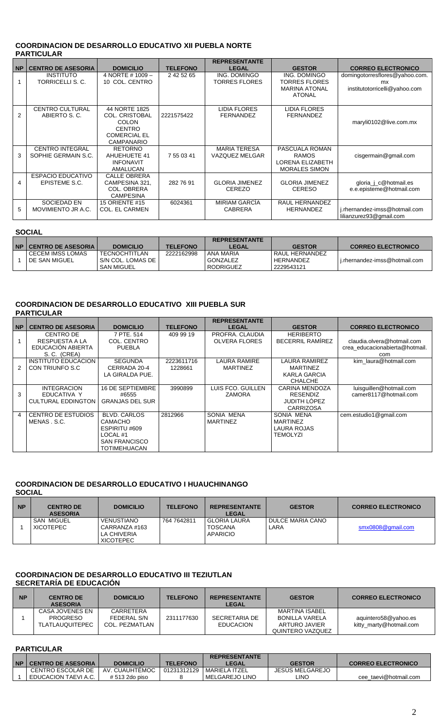## **COORDINACION DE DESARROLLO EDUCATIVO XII PUEBLA NORTE PARTICULAR**

|           |                           |                       |                 | <b>REPRESENTANTE</b>  |                       |                                |
|-----------|---------------------------|-----------------------|-----------------|-----------------------|-----------------------|--------------------------------|
| <b>NP</b> | <b>CENTRO DE ASESORIA</b> | <b>DOMICILIO</b>      | <b>TELEFONO</b> | <b>LEGAL</b>          | <b>GESTOR</b>         | <b>CORREO ELECTRONICO</b>      |
|           | <b>INSTITUTO</b>          | 4 NORTE # 1009 -      | 2 42 52 65      | ING. DOMINGO          | ING. DOMINGO          | domingotorresflores@yahoo.com. |
|           | TORRICELLI S. C.          | 10 COL. CENTRO        |                 | <b>TORRES FLORES</b>  | TORRES FLORES         | mx                             |
|           |                           |                       |                 |                       | <b>MARINA ATONAL</b>  | institutotorricelli@yahoo.com  |
|           |                           |                       |                 |                       | <b>ATONAL</b>         |                                |
|           |                           |                       |                 |                       |                       |                                |
|           | <b>CENTRO CULTURAL</b>    | 44 NORTE 1825         |                 | <b>LIDIA FLORES</b>   | <b>LIDIA FLORES</b>   |                                |
| 2         | ABIERTO S. C.             | <b>COL. CRISTOBAL</b> | 2221575422      | <b>FERNANDEZ</b>      | <b>FERNANDEZ</b>      |                                |
|           |                           | <b>COLON</b>          |                 |                       |                       | maryli0102@live.com.mx         |
|           |                           | <b>CENTRO</b>         |                 |                       |                       |                                |
|           |                           | <b>COMERCIAL EL</b>   |                 |                       |                       |                                |
|           |                           | <b>CAMPANARIO</b>     |                 |                       |                       |                                |
|           | <b>CENTRO INTEGRAL</b>    | <b>RETORNO</b>        |                 | <b>MARIA TERESA</b>   | PASCUALA ROMAN        |                                |
| 3         | SOPHIE GERMAIN S.C.       | AHUEHUETE 41          | 7 55 03 41      | VAZQUEZ MELGAR        | <b>RAMOS</b>          | cisgermain@gmail.com           |
|           |                           | <b>INFONAVIT</b>      |                 |                       | LORENA ELIZABETH      |                                |
|           |                           | AMALUCAN              |                 |                       | <b>MORALES SIMON</b>  |                                |
|           | <b>ESPACIO EDUCATIVO</b>  | CALLE OBRERA          |                 |                       |                       |                                |
| 4         | EPISTEME S.C.             | CAMPESINA 321,        | 282 76 91       | <b>GLORIA JIMENEZ</b> | <b>GLORIA JIMENEZ</b> | gloria_j_c@hotmail.es          |
|           |                           | <b>COL. OBRERA</b>    |                 | <b>CEREZO</b>         | <b>CERESO</b>         | e.e.episteme@hotmail.com       |
|           |                           | <b>CAMPESINA</b>      |                 |                       |                       |                                |
|           | SOCIEDAD EN               | <b>15 ORIENTE #15</b> | 6024361         | <b>MIRIAM GARCIA</b>  | RAUL HERNANDEZ        |                                |
| 5         | MOVIMIENTO JR A.C.        | COL. EL CARMEN        |                 | <b>CABRERA</b>        | <b>HERNANDEZ</b>      | j.rhernandez-imss@hotmail.com  |
|           |                           |                       |                 |                       |                       | lilianzurez93@gmail.com        |

## **SOCIAL**

|                                |                   |                 | <b>REPRESENTANTE</b> |                  |                               |
|--------------------------------|-------------------|-----------------|----------------------|------------------|-------------------------------|
| <b>NP   CENTRO DE ASESORIA</b> | <b>DOMICILIO</b>  | <b>TELEFONO</b> | LEGAL                | <b>GESTOR</b>    | <b>CORREO ELECTRONICO</b>     |
| <b>CECEM IMSS LOMAS</b>        | TECNOCHTITLAN     | 2222162998      | ANA MARIA            | l RAUL HERNANDEZ |                               |
| DE SAN MIGUEL                  | S/N COL. LOMAS DE |                 | GONZALEZ             | HERNANDEZ        | i.rhernandez-imss@hotmail.com |
|                                | <b>SAN MIGUEL</b> |                 | <b>RODRIGUEZ</b>     | 2229543121       |                               |

#### **COORDINACION DE DESARROLLO EDUCATIVO XIII PUEBLA SUR PARTICULAR**

|           |                           |                        |                 | <b>REPRESENTANTE</b> |                         |                                |
|-----------|---------------------------|------------------------|-----------------|----------------------|-------------------------|--------------------------------|
| <b>NP</b> | <b>CENTRO DE ASESORIA</b> | <b>DOMICILIO</b>       | <b>TELEFONO</b> | <b>LEGAL</b>         | <b>GESTOR</b>           | <b>CORREO ELECTRONICO</b>      |
|           | <b>CENTRO DE</b>          | 7 PTE, 514             | 409 99 19       | PROFRA, CLAUDIA      | <b>HERIBERTO</b>        |                                |
|           | RESPUESTA A LA            | COL. CENTRO            |                 | <b>OLVERA FLORES</b> | <b>BECERRIL RAMIREZ</b> | claudia.olvera@hotmail.com     |
|           | EDUCACIÓN ABIERTA         | <b>PUEBLA</b>          |                 |                      |                         | crea educacionabierta@hotmail. |
|           | S. C. (CREA)              |                        |                 |                      |                         | com                            |
|           | INSTITUTO EDUCACION       | <b>SEGUNDA</b>         | 2223611716      | <b>LAURA RAMIRE</b>  | LAURA RAMIREZ           | kim laura@hotmail.com          |
| 2         | CON TRIUNFO S.C.          | CERRADA 20-4           | 1228661         | <b>MARTINEZ</b>      | <b>MARTINEZ</b>         |                                |
|           |                           | LA GIRALDA PUE.        |                 |                      | KARLA GARCIA            |                                |
|           |                           |                        |                 |                      | <b>CHALCHE</b>          |                                |
|           | <b>INTEGRACION</b>        | 16 DE SEPTIEMBRE       | 3990899         | LUIS FCO. GUILLEN    | CARINA MENDOZA          | luisguillen@hotmail.com        |
| 3         | EDUCATIVA Y               | #6555                  |                 | <b>ZAMORA</b>        | <b>RESENDIZ</b>         | camer8117@hotmail.com          |
|           | <b>CULTURAL EDDINGTON</b> | <b>GRANJAS DEL SUR</b> |                 |                      | JUDITH LÓPEZ            |                                |
|           |                           |                        |                 |                      | <b>CARRIZOSA</b>        |                                |
| 4         | CENTRO DE ESTUDIOS        | BLVD, CARLOS           | 2812966         | SONIA MENA           | SONIA MENA              | cem.estudio1@gmail.com         |
|           | MENAS.S.C.                | CAMACHO                |                 | <b>MARTINEZ</b>      | <b>MARTINEZ</b>         |                                |
|           |                           | ESPIRITU #609          |                 |                      | LAURA ROJAS             |                                |
|           |                           | LOCAL #1               |                 |                      | TEMOLYZI                |                                |
|           |                           | <b>SAN FRANCISCO</b>   |                 |                      |                         |                                |
|           |                           | <b>TOTIMEHUACAN</b>    |                 |                      |                         |                                |

# **COORDINACION DE DESARROLLO EDUCATIVO I HUAUCHINANGO**

**SOCIAL**

| <b>NP</b> | <b>CENTRO DE</b><br><b>ASESORIA</b>   | <b>DOMICILIO</b>                                                      | <b>TELEFONO</b> | <b>REPRESENTANTE</b><br><b>LEGAL</b>         | <b>GESTOR</b>                   | <b>CORREO ELECTRONICO</b> |
|-----------|---------------------------------------|-----------------------------------------------------------------------|-----------------|----------------------------------------------|---------------------------------|---------------------------|
|           | <b>SAN MIGUEL</b><br><b>XICOTEPEC</b> | <b>VENUSTIANO</b><br>CARRANZA #163<br>LA CHIVERIA<br><b>XICOTEPEC</b> | 764 764 2811    | l GLORIA LAURA<br><b>TOSCANA</b><br>APARICIO | <b>DULCE MARIA CANO</b><br>LARA | smx0808@gmail.com         |

### **COORDINACION DE DESARROLLO EDUCATIVO III TEZIUTLAN SECRETARÍA DE EDUCACIÓN**

| <b>NP</b> | <b>CENTRO DE</b><br><b>ASESORIA</b>                          | <b>DOMICILIO</b>                           | <b>TELEFONO</b> | <b>REPRESENTANTE</b><br><b>LEGAL</b> | <b>GESTOR</b>                                                                | <b>CORREO ELECTRONICO</b>                       |
|-----------|--------------------------------------------------------------|--------------------------------------------|-----------------|--------------------------------------|------------------------------------------------------------------------------|-------------------------------------------------|
|           | CASA JOVENES EN<br><b>PROGRESO</b><br><b>TLATLAUQUITEPEC</b> | CARRETERA<br>FEDERAL S/N<br>COL. PEZMATLAN | 2311177630      | SECRETARIA DE<br><b>EDUCACION</b>    | MARTINA ISABEL<br><b>BONILLA VARELA</b><br>ARTURO JAVIER<br>QUINTERO VAZQUEZ | aquintero58@yahoo.es<br>kitty marty@hotmail.com |

## **PARTICULAR**

|      |                           |                  |                 | <b>REPRESENTANTE</b> |                        |                           |
|------|---------------------------|------------------|-----------------|----------------------|------------------------|---------------------------|
| NP I | <b>CENTRO DE ASESORIA</b> | <b>DOMICILIO</b> | <b>TELEFONO</b> | <b>LEGAL</b>         | <b>GESTOR</b>          | <b>CORREO ELECTRONICO</b> |
|      | CENTRO ESCOLAR DE         | AV. CUAUHTEMOC   | 01231312129     | I MARIFI A ITZFI     | <b>JESUS MELGAREJO</b> |                           |
|      | EDUCACION TAEVI A.C.      | # 513 2do piso   |                 | l MELGAREJO LINO     | LINO                   | cee taevi@hotmail.com     |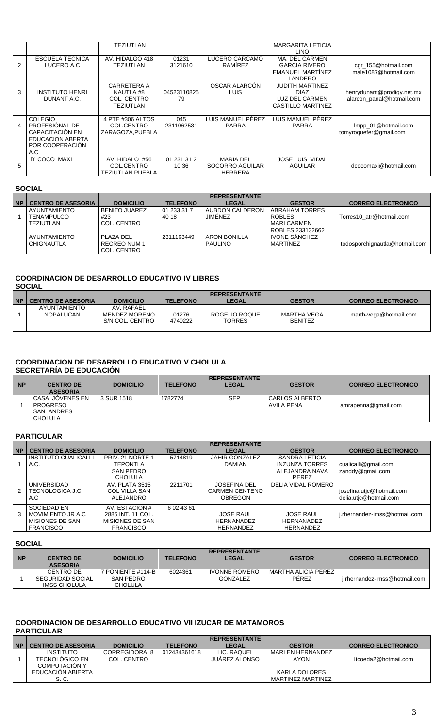|   |                                                                                                          | TEZIUTLAN                                            |                      |                                                       | <b>MARGARITA LETICIA</b><br><b>LINO</b>                                             |                                                         |
|---|----------------------------------------------------------------------------------------------------------|------------------------------------------------------|----------------------|-------------------------------------------------------|-------------------------------------------------------------------------------------|---------------------------------------------------------|
| 2 | <b>ESCUELA TÉCNICA</b><br>LUCERO A.C.                                                                    | AV. HIDALGO 418<br>TEZIUTLAN                         | 01231<br>3121610     | LUCERO CARCAMO<br><b>RAMIREZ</b>                      | MA. DEL CARMEN<br><b>GARCIA RIVERO</b><br><b>EMANUEL MARTINEZ</b><br>LANDERO        | cgr_155@hotmail.com<br>male1087@hotmail.com             |
| 3 | <b>INSTITUTO HENRI</b><br>DUNANT A.C.                                                                    | CARRETERA A<br>NAUTLA #8<br>COL. CENTRO<br>TEZIUTLAN | 04523110825<br>79    | OSCAR ALARCON<br>LUIS                                 | <b>JUDITH MARTINEZ</b><br><b>DIAZ</b><br>LUZ DEL CARMEN<br><b>CASTILLO MARTINEZ</b> | henrydunant@prodigy.net.mx<br>alarcon panal@hotmail.com |
| 4 | <b>COLEGIO</b><br>PROFESIÓNAL DE<br>CAPACITACIÓN EN<br><b>EDUCACION ABERTA</b><br>POR COOPERACIÓN<br>A.C | 4 PTE #306 ALTOS<br>COL.CENTRO<br>ZARAGOZA.PUEBLA    | 045<br>2311062531    | LUIS MANUEL PÉREZ<br><b>PARRA</b>                     | LUIS MANUEL PÉREZ<br><b>PARRA</b>                                                   | Impp_01@hotmail.com<br>tomyroquefer@gmail.com           |
| 5 | D' COCO MAXI                                                                                             | AV. HIDALO #56<br>COL.CENTRO<br>TEZIUTLAN PUEBLA     | 01 231 31 2<br>10 36 | <b>MARIA DEL</b><br>SOCORRO AGUILAR<br><b>HERRERA</b> | <b>JOSE LUIS VIDAL</b><br><b>AGUILAR</b>                                            | dcocomaxi@hotmail.com                                   |

### **SOCIAL**

| <b>NP</b> | <b>CENTRO DE ASESORIA</b>                      | <b>DOMICILIO</b>                           | <b>TELEFONO</b>      | <b>REPRESENTANTE</b><br><b>LEGAL</b> | <b>GESTOR</b>                                                               | <b>CORREO ELECTRONICO</b>      |
|-----------|------------------------------------------------|--------------------------------------------|----------------------|--------------------------------------|-----------------------------------------------------------------------------|--------------------------------|
|           | AYUNTAMIENTO<br><b>TENAMPULCO</b><br>TEZIUTLAN | <b>BENITO JUAREZ</b><br>#23<br>COL. CENTRO | 01 233 31 7<br>40 18 | AUBDON CALDERON<br>JIMÉNEZ           | <b>ABRAHAM TORRES</b><br><b>ROBLES</b><br>I MARI CARMEN<br>ROBLES 233132662 | Torres10 atr@hotmail.com       |
|           | AYUNTAMIENTO<br>CHIGNAUTLA                     | PI AZA DEI<br>RECREO NUM 1<br>COL. CENTRO  | 2311163449           | <b>ARON BONILLA</b><br>PAULINO       | <b>IVONE SANCHEZ</b><br><b>MARTINFZ</b>                                     | todosporchignautla@hotmail.com |

## **COORDINACION DE DESARROLLO EDUCATIVO IV LIBRES SOCIAL**

|                                  |                                                      |                  | <b>REPRESENTANTE</b>           |                               |                           |
|----------------------------------|------------------------------------------------------|------------------|--------------------------------|-------------------------------|---------------------------|
| <b>NP   CENTRO DE ASESORIA</b>   | <b>DOMICILIO</b>                                     | <b>TELEFONO</b>  | LEGAL                          | <b>GESTOR</b>                 | <b>CORREO ELECTRONICO</b> |
| AYUNTAMIENTO<br><b>NOPALUCAN</b> | AV RAFAFI<br><b>MENDEZ MORENO</b><br>S/N COL. CENTRO | 01276<br>4740222 | ROGELIO ROQUE<br><b>TORRES</b> | MARTHA VEGA<br><b>BENITEZ</b> | marth-vega@hotmail.com    |

### **COORDINACION DE DESARROLLO EDUCATIVO V CHOLULA SECRETARÍA DE EDUCACIÓN**

| <b>NP</b> | <b>CENTRO DE</b><br><b>ASESORIA</b>                         | <b>DOMICILIO</b> | <b>TELEFONO</b> | <b>REPRESENTANTE</b><br><b>LEGAL</b> | <b>GESTOR</b>                | <b>CORREO ELECTRONICO</b> |
|-----------|-------------------------------------------------------------|------------------|-----------------|--------------------------------------|------------------------------|---------------------------|
|           | CASA JOVENES EN<br><b>PROGRESO</b><br>SAN ANDRES<br>CHOLULA | l 3 SUR 1518     | 1782774         | <b>SEP</b>                           | CARLOS ALBERTO<br>AVILA PENA | amrapenna@gmail.com       |

## **PARTICULAR**

|           |                           |                      |                 | <b>REPRESENTANTE</b>  |                       |                               |
|-----------|---------------------------|----------------------|-----------------|-----------------------|-----------------------|-------------------------------|
| <b>NP</b> | <b>CENTRO DE ASESORIA</b> | <b>DOMICILIO</b>     | <b>TELEFONO</b> | <b>LEGAL</b>          | <b>GESTOR</b>         | <b>CORREO ELECTRONICO</b>     |
|           | INSTITUTO CUALICALLI      | PRIV. 21 NORTE 1     | 5714819         | JAHIR GONZALEZ        | SANDRA LETICIA        |                               |
|           | A.C.                      | <b>TEPONTLA</b>      |                 | <b>DAMIAN</b>         | <b>INZUNZA TORRES</b> | cualicalli@gmail.com          |
|           |                           | SAN PEDRO            |                 |                       | ALEJANDRA NAVA        | zanddy@gmail.com              |
|           |                           | <b>CHOLULA</b>       |                 |                       | <b>PEREZ</b>          |                               |
|           | UNIVERSIDAD               | AV. PLATA 3515       | 2211701         | <b>JOSEFINA DEL</b>   | DELIA VIDAL ROMERO    |                               |
| 2         | TECNOLOGICA J.C           | <b>COL VILLA SAN</b> |                 | <b>CARMEN CENTENO</b> |                       | josefina.utjc@hotmail.com     |
|           | A.C                       | ALEJANDRO            |                 | OBREGON               |                       | delia.utic@hotmail.com        |
|           | SOCIEDAD EN               | AV. ESTACION #       | 6 02 43 61      |                       |                       |                               |
|           | MOVIMIENTO JR A.C         | 2885 INT. 11 COL.    |                 | <b>JOSE RAUL</b>      | <b>JOSE RAUL</b>      | j.rhernandez-imss@hotmail.com |
|           | MISIONES DE SAN           | MISIONES DE SAN      |                 | <b>HERNANADEZ</b>     | <b>HERNANADEZ</b>     |                               |
|           | <b>FRANCISCO</b>          | <b>FRANCISCO</b>     |                 | <b>HERNANDEZ</b>      | <b>HERNANDEZ</b>      |                               |

## **SOCIAL**

| <b>NP</b> | <b>CENTRO DE</b><br><b>ASESORIA</b>           | <b>DOMICILIO</b>                          | <b>TELEFONO</b> | <b>REPRESENTANTE</b><br><b>LEGAL</b> | <b>GESTOR</b>                | <b>CORREO ELECTRONICO</b>     |
|-----------|-----------------------------------------------|-------------------------------------------|-----------------|--------------------------------------|------------------------------|-------------------------------|
|           | CENTRO DE<br>SEGURIDAD SOCIAL<br>IMSS CHOLULA | 7 PONIENTE #114-B<br>SAN PEDRO<br>CHOLULA | 6024361         | <b>IVONNE ROMERO</b><br>GONZALEZ     | MARTHA ALICIA PÉREZ<br>PEREZ | j.rhernandez-imss@hotmail.com |

# **COORDINACION DE DESARROLLO EDUCATIVO VII IZUCAR DE MATAMOROS**

|  | <b>PARTICULAR</b> |  |
|--|-------------------|--|
|  |                   |  |

|           |                           |                  |                 | <b>REPRESENTANTE</b> |                   |                           |
|-----------|---------------------------|------------------|-----------------|----------------------|-------------------|---------------------------|
| <b>NP</b> | <b>CENTRO DE ASESORIA</b> | <b>DOMICILIO</b> | <b>TELEFONO</b> | <b>LEGAL</b>         | <b>GESTOR</b>     | <b>CORREO ELECTRONICO</b> |
|           | INSTITUTO                 | CORREGIDORA 8    | 012434361618    | LIC. RAQUEL          | MARI EN HERNANDEZ |                           |
|           | <b>TECNOLOGICO EN</b>     | COL. CENTRO      |                 | <b>JUAREZ ALONSO</b> | AYON              | Itcoeda2@hotmail.com      |
|           | <b>COMPUTACIÓN Y</b>      |                  |                 |                      |                   |                           |
|           | EDUCACION ABIERTA         |                  |                 |                      | KARLA DOLORES     |                           |
|           | S. C.                     |                  |                 |                      | MARTINEZ MARTINEZ |                           |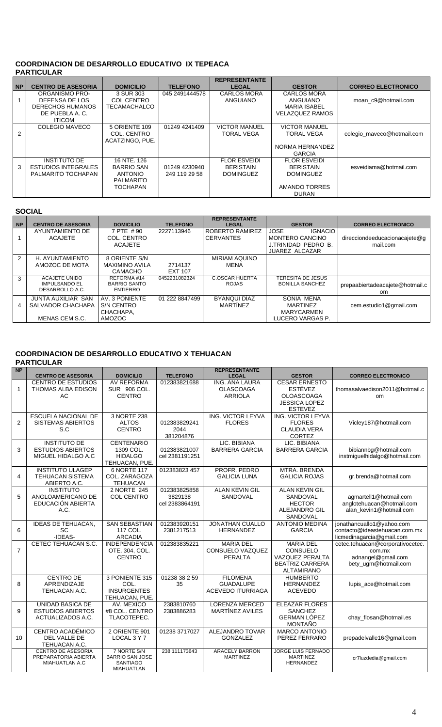## **COORDINACION DE DESARROLLO EDUCATIVO IX TEPEACA PARTICULAR**

|           |                            |                   |                 | <b>REPRESENTANTE</b> |                        |                            |
|-----------|----------------------------|-------------------|-----------------|----------------------|------------------------|----------------------------|
| <b>NP</b> | <b>CENTRO DE ASESORIA</b>  | <b>DOMICILIO</b>  | <b>TELEFONO</b> | <b>LEGAL</b>         | <b>GESTOR</b>          | <b>CORREO ELECTRONICO</b>  |
|           | <b>ORGANISMO PRO-</b>      | 3 SUR 303         | 045 2491444578  | <b>CARLOS MORA</b>   | <b>CARLOS MORA</b>     |                            |
|           | DEFENSA DE LOS             | COL CENTRO        |                 | ANGUIANO             | ANGUIANO               | moan c9@hotmail.com        |
|           | DERECHOS HUMANOS           | TECAMACHALCO      |                 |                      | <b>MARIA ISABEL</b>    |                            |
|           | DE PUEBLA A.C.             |                   |                 |                      | <b>VELAZQUEZ RAMOS</b> |                            |
|           | <b>ITICOM</b>              |                   |                 |                      |                        |                            |
|           | COLEGIO MAVECO             | 5 ORIENTE 109     | 01249 4241409   | <b>VICTOR MANUEL</b> | <b>VICTOR MANUEL</b>   |                            |
| 2         |                            | COL. CENTRO       |                 | <b>TORAL VEGA</b>    | <b>TORAL VEGA</b>      | colegio maveco@hotmail.com |
|           |                            | ACATZINGO, PUE.   |                 |                      |                        |                            |
|           |                            |                   |                 |                      | NORMA HERNANDEZ        |                            |
|           |                            |                   |                 |                      | <b>GARCIA</b>          |                            |
|           | <b>INSTITUTO DE</b>        | 16 NTE, 126       |                 | <b>FLOR ESVEIDI</b>  | <b>FLOR ESVEIDI</b>    |                            |
| 3         | <b>ESTUDIOS INTEGRALES</b> | <b>BARRIO SAN</b> | 01249 4230940   | BERISTAIN            | <b>BERISTAIN</b>       | esveidiama@hotmail.com     |
|           | PALMARITO TOCHAPAN         | <b>ANTONIO</b>    | 249 119 29 58   | <b>DOMINGUEZ</b>     | <b>DOMINGUEZ</b>       |                            |
|           |                            | <b>PALMARITO</b>  |                 |                      |                        |                            |
|           |                            | <b>TOCHAPAN</b>   |                 |                      | AMANDO TORRES          |                            |
|           |                            |                   |                 |                      | <b>DURAN</b>           |                            |

## **SOCIAL**

| <b>NP</b>     | <b>CENTRO DE ASESORIA</b>                                       | <b>DOMICILIO</b>                                     | <b>TELEFONO</b>           | <b>REPRESENTANTE</b><br><b>LEGAL</b>  | <b>GESTOR</b>                                                                                           | <b>CORREO ELECTRONICO</b>                        |
|---------------|-----------------------------------------------------------------|------------------------------------------------------|---------------------------|---------------------------------------|---------------------------------------------------------------------------------------------------------|--------------------------------------------------|
|               | AYUNTAMIENTO DE<br><b>ACAJETE</b>                               | 7 PTE #90<br>COL. CENTRO<br><b>ACAJETE</b>           | 2227113946                | ROBERTO RAMIREZ<br><b>CERVANTES</b>   | <b>JOSE</b><br><b>IGNACIO</b><br><b>MONTERO CANCINO</b><br>J.TRINIDAD PEDRO B.<br><b>JUAREZ ALCAZAR</b> | direcciondeeducacionacajete@g<br>mail.com        |
| $\mathcal{P}$ | H. AYUNTAMIENTO<br>AMOZOC DE MOTA                               | 8 ORIENTE S/N<br><b>MAXIMINO AVILA</b><br>CAMACHO    | 2714137<br><b>EXT 107</b> | MIRIAM AQUINO<br>MENA                 |                                                                                                         |                                                  |
| 3             | <b>ACAJETE UNIDO</b><br><b>IMPULSANDO EL</b><br>DESARROLLO A.C. | REFORMA#14<br><b>BARRIO SANTO</b><br><b>ENTIERRO</b> | 0452231082324             | <b>C.OSCAR HUERTA</b><br><b>ROJAS</b> | TERESITA DE JESUS<br><b>BONILLA SANCHEZ</b>                                                             | prepaabiertadeacajete@hotmail.c<br><sub>om</sub> |
| 4             | JUNTA AUXILIAR SAN<br>SALVADOR CHACHAPA<br>MENAS CEM S.C.       | AV. 3 PONIENTE<br>S/N CENTRO<br>CHACHAPA,<br>AMOZOC  | 01 222 8847499            | BYANQUI DIAZ<br><b>MARTINEZ</b>       | SONIA MENA<br><b>MARTINEZ</b><br><b>MARYCARMEN</b><br>LUCERO VARGAS P.                                  | cem.estudio1@gmail.com                           |

## **COORDINACION DE DESARROLLO EDUCATIVO X TEHUACAN**

**PARTICULAR** 

| <b>NP</b>      | <b>CENTRO DE ASESORIA</b>                                             | <b>DOMICILIO</b>                                                       | <b>TELEFONO</b>                           | <b>REPRESENTANTE</b><br><b>LEGAL</b>                            | <b>GESTOR</b>                                                                                         | <b>CORREO ELECTRONICO</b>                                                                |
|----------------|-----------------------------------------------------------------------|------------------------------------------------------------------------|-------------------------------------------|-----------------------------------------------------------------|-------------------------------------------------------------------------------------------------------|------------------------------------------------------------------------------------------|
| 1              | <b>CENTRO DE ESTUDIOS</b><br><b>THOMAS ALBA EDISON</b><br>AC          | <b>AV REFORMA</b><br>SUR 906 COL.<br><b>CENTRO</b>                     | 012383821688                              | ING. ANA LAURA<br><b>OLASCOAGA</b><br><b>ARRIOLA</b>            | <b>CESAR ERNESTO</b><br><b>ESTÉVEZ</b><br><b>OLOASCOAGA</b><br><b>JESSICA LOPEZ</b><br><b>ESTEVEZ</b> | thomasalvaedison2011@hotmail.c<br><sub>om</sub>                                          |
| $\overline{2}$ | <b>ESCUELA NACIONAL DE</b><br><b>SISTEMAS ABIERTOS</b><br>S.C         | 3 NORTE 238<br><b>ALTOS</b><br><b>CENTRO</b>                           | 012383829241<br>2044<br>381204876         | ING. VICTOR LEYVA<br><b>FLORES</b>                              | ING. VICTOR LEYVA<br><b>FLORES</b><br><b>CLAUDIA VERA</b><br><b>CORTEZ</b>                            | Vicley187@hotmail.com                                                                    |
| 3              | <b>INSTITUTO DE</b><br><b>ESTUDIOS ABIERTOS</b><br>MIGUEL HIDALGO A.C | <b>CENTENARIO</b><br>1309 COL.<br><b>HIDALGO</b><br>TEHUACAN, PUE.     | 012383821007<br>cel 2381191251            | LIC. BIBIANA<br><b>BARRERA GARCIA</b>                           | LIC. BIBIANA<br><b>BARRERA GARCIA</b>                                                                 | bibiannbg@hotmail.com<br>instmiguelhidalgo@hotmail.com                                   |
| 4              | <b>INSTITUTO ULAGEP</b><br><b>TEHUACAN SISTEMA</b><br>ABIERTO A.C.    | 6 NORTE 117<br>COL. ZARAGOZA<br><b>TEHUACAN</b>                        | 012383823 457                             | PROFR, PEDRO<br><b>GALICIA LUNA</b>                             | <b>MTRA, BRENDA</b><br><b>GALICIA ROJAS</b>                                                           | gr.brenda@hotmail.com                                                                    |
| 5              | <b>INSTITUTO</b><br>ANGLOAMERICANO DE<br>EDUCACIÓN ABIERTA<br>A.C.    | 2 NORTE 245<br><b>COL CENTRO</b>                                       | 012383825858<br>3829138<br>cel 2383864191 | <b>ALAN KEVIN GIL</b><br>SANDOVAL                               | ALAN KEVIN GIL<br>SANDOVAL<br><b>HECTOR</b><br>ALEJANDRO GIL<br>SANDOVAL                              | agmartell1@hotmail.com<br>anglotehuacan@hotmail.com<br>alan kevin1@hotmail.com           |
| 6              | <b>IDEAS DE TEHUACAN,</b><br>SC<br>-IDEAS-                            | <b>SAN SEBASTIAN</b><br>117 COL.<br><b>ARCADIA</b>                     | 012383920151<br>2381217513                | <b>JONATHAN CUALLO</b><br><b>HERNANDEZ</b>                      | <b>ANTONIO MEDINA</b><br><b>GARCIA</b>                                                                | jonathancuallo1@yahoo.com<br>contacto@ideastehuacan.com.mx<br>licmedinagarcia@gmail.com  |
| $\overline{7}$ | CETEC TEHUACAN S.C.                                                   | <b>INDEPENDENCIA</b><br>OTE. 304, COL.<br><b>CENTRO</b>                | 012383835221                              | <b>MARIA DEL</b><br>CONSUELO VAZQUEZ<br><b>PERALTA</b>          | <b>MARIA DEL</b><br><b>CONSUELO</b><br>VAZQUEZ PERALTA<br><b>BEATRIZ CARRERA</b><br><b>ALTAMIRANO</b> | cetec.tehuacan@corporativocetec.<br>com.mx<br>adnangel@gmail.com<br>bety_ugm@hotmail.com |
| 8              | <b>CENTRO DE</b><br>APRENDIZAJE<br>TEHUACAN A.C.                      | 3 PONIENTE 315<br>COL.<br><b>INSURGENTES</b><br>TEHUACAN, PUE.         | 01238 38 2 59<br>35                       | <b>FILOMENA</b><br><b>GUADALUPE</b><br><b>ACEVEDO ITURRIAGA</b> | <b>HUMBERTO</b><br><b>HERNANDEZ</b><br><b>ACEVEDO</b>                                                 | lupis_ace@hotmail.com                                                                    |
| 9              | UNIDAD BASICA DE<br><b>ESTUDIOS ABIERTOS</b><br>ACTUALIZADOS A.C.     | AV. MEXICO<br>#8 COL. CENTRO<br>TLACOTEPEC.                            | 2383810760<br>2383886283                  | <b>LORENZA MERCED</b><br>MARTÍNEZ AVILES                        | <b>ELEAZAR FLORES</b><br><b>SANCHEZ</b><br><b>GERMAN LÓPEZ</b><br><b>MONTAÑO</b>                      | chay_flosan@hotmail.es                                                                   |
| 10             | CENTRO ACADÉMICO<br>DEL VALLE DE<br>TEHUACAN A.C.                     | 2 ORIENTE 901<br>LOCAL 3 Y 7                                           | 01238 3717027                             | <b>ALEJANDRO TOVAR</b><br><b>GONZALEZ</b>                       | <b>MARCO ANTONIO</b><br>PEREZ FERRARO                                                                 | prepadelvalle16@gmail.com                                                                |
|                | <b>CENTRO DE ASESORIA</b><br>PREPARATORIA ABIERTA<br>MIAHUATLAN A.C   | 7 NORTE S/N<br><b>BARRIO SAN JOSE</b><br><b>SANTIAGO</b><br>MIAHUATLAN | 238 111173643                             | <b>ARACELY BARRON</b><br><b>MARTINEZ</b>                        | JORGE LUIS FERNADO<br><b>MARTINEZ</b><br><b>HERNANDEZ</b>                                             | cr7luzdedia@gmail.com                                                                    |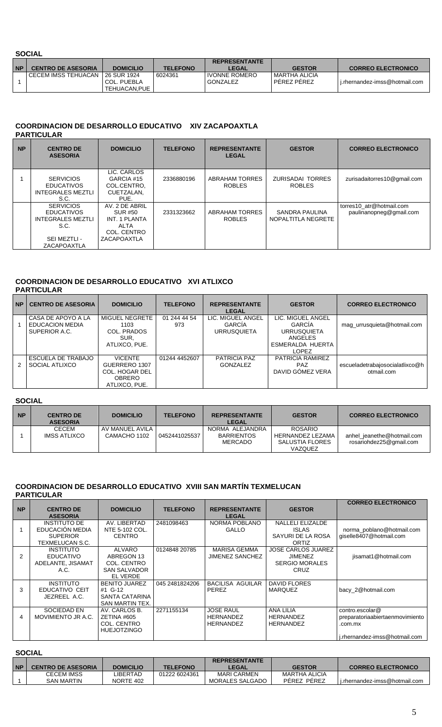## **SOCIAL**

| <b>NP</b> | <b>CENTRO DE ASESORIA</b>           | <b>DOMICILIO</b>            | <b>TELEFONO</b> | <b>REPRESENTANTE</b><br><b>LEGAL</b> | <b>GESTOR</b>                       | <b>CORREO ELECTRONICO</b>     |
|-----------|-------------------------------------|-----------------------------|-----------------|--------------------------------------|-------------------------------------|-------------------------------|
|           | I CECEM IMSS TEHUACAN 1 26 SUR 1924 | COL. PUEBLA<br>TEHUACAN.PUE | 6024361         | <b>IVONNE ROMERO</b><br>GONZALEZ     | MARTHA ALICIA<br><b>PEREZ PEREZ</b> | i.rhernandez-imss@hotmail.com |

## **COORDINACION DE DESARROLLO EDUCATIVO XIV ZACAPOAXTLA PARTICULAR**

| <b>NP</b> | <b>CENTRO DE</b><br><b>ASESORIA</b>                                                                             | <b>DOMICILIO</b>                                                                        | <b>TELEFONO</b> | <b>REPRESENTANTE</b><br><b>LEGAL</b>   | <b>GESTOR</b>                            | <b>CORREO ELECTRONICO</b>                           |
|-----------|-----------------------------------------------------------------------------------------------------------------|-----------------------------------------------------------------------------------------|-----------------|----------------------------------------|------------------------------------------|-----------------------------------------------------|
|           | <b>SERVICIOS</b><br><b>EDUCATIVOS</b><br><b>INTEGRALES MEZTLI</b><br>S.C.                                       | LIC. CARLOS<br>GARCIA #15<br>COL.CENTRO.<br>CUETZALAN.<br>PUE.                          | 2336880196      | <b>ABRAHAM TORRES</b><br><b>ROBLES</b> | <b>ZURISADAI TORRES</b><br><b>ROBLES</b> | zurisadaitorres10@gmail.com                         |
|           | <b>SERVICIOS</b><br><b>EDUCATIVOS</b><br><b>INTEGRALES MEZTLI</b><br>S.C.<br>SEI MEZTLI -<br><b>ZACAPOAXTLA</b> | AV. 2 DE ABRIL<br>SUR #50<br>INT. 1 PLANTA<br><b>ALTA</b><br>COL. CENTRO<br>ZACAPOAXTLA | 2331323662      | ABRAHAM TORRES<br><b>ROBLES</b>        | SANDRA PAULINA<br>NOPALTITLA NEGRETE     | torres10 atr@hotmail.com<br>paulinanopneg@gmail.com |

# **COORDINACION DE DESARROLLO EDUCATIVO XVI ATLIXCO**

| <b>PARTICULAR</b> |  |
|-------------------|--|
|                   |  |

| <b>NP</b> | <b>CENTRO DE ASESORIA</b>                              | <b>DOMICILIO</b>                                                                    | <b>TELEFONO</b>     | <b>REPRESENTANTE</b><br><b>LEGAL</b>              | <b>GESTOR</b>                                                                                    | <b>CORREO ELECTRONICO</b>                     |
|-----------|--------------------------------------------------------|-------------------------------------------------------------------------------------|---------------------|---------------------------------------------------|--------------------------------------------------------------------------------------------------|-----------------------------------------------|
|           | CASA DE APOYO A LA<br>EDUCACION MEDIA<br>SUPERIOR A.C. | MIGUEL NEGRETE<br>1103<br>COL. PRADOS<br>SUR.<br>ATLIXCO, PUE.                      | 01 244 44 54<br>973 | LIC. MIGUEL ANGEL<br>GARCIA<br><b>URRUSQUIETA</b> | LIC. MIGUEL ANGEL<br>GARCIA<br><b>URRUSQUIETA</b><br>ANGELES<br>ESMERALDA HUERTA<br><b>LOPEZ</b> | mag_urrusquieta@hotmail.com                   |
| 2         | ESCUELA DE TRABAJO<br>SOCIAL ATLIXCO                   | <b>VICENTE</b><br>GUERRERO 1307<br>COL. HOGAR DEL<br><b>OBRERO</b><br>ATLIXCO, PUE. | 01244 4452607       | PATRICIA PAZ<br><b>GONZALEZ</b>                   | PATRICIA RAMIREZ<br><b>PAZ</b><br>DAVID GOMEZ VERA                                               | escueladetrabajosocialatlixco@h<br>otmail.com |

## **SOCIAL**

| <b>NP</b> | <b>CENTRO DE</b><br><b>ASESORIA</b> | <b>DOMICILIO</b>                | <b>TELEFONO</b> | <b>REPRESENTANTE</b><br><b>LEGAL</b>            | <b>GESTOR</b>                                             | <b>CORREO ELECTRONICO</b>                             |
|-----------|-------------------------------------|---------------------------------|-----------------|-------------------------------------------------|-----------------------------------------------------------|-------------------------------------------------------|
|           | <b>CECEM</b><br>IMSS ATLIXCO        | AV MANUEL AVILA<br>CAMACHO 1102 | 0452441025537   | NORMA ALEJANDRA<br><b>BARRIENTOS</b><br>MERCADO | ROSARIO<br>HERNANDEZ LEZAMA<br>SALUSTIA FLORES<br>VAZQUEZ | anhel_jeanethe@hotmail.com<br>rosariohdez25@gmail.com |

## **COORDINACION DE DESARROLLO EDUCATIVO XVIII SAN MARTÍN TEXMELUCAN PARTICULAR**

|           |                                                                              |                                                                        |                 |                                                          |                                                                              | <b>CORREO ELECTRONICO</b>                                                                      |
|-----------|------------------------------------------------------------------------------|------------------------------------------------------------------------|-----------------|----------------------------------------------------------|------------------------------------------------------------------------------|------------------------------------------------------------------------------------------------|
| <b>NP</b> | <b>CENTRO DE</b><br><b>ASESORIA</b>                                          | <b>DOMICILIO</b>                                                       | <b>TELEFONO</b> | <b>REPRESENTANTE</b><br><b>LEGAL</b>                     | <b>GESTOR</b>                                                                |                                                                                                |
|           | <b>INSTITUTO DE</b><br>EDUCACIÓN MEDIA<br><b>SUPERIOR</b><br>TEXMELUCAN S.C. | AV. LIBERTAD<br>NTE 5-102 COL.<br><b>CENTRO</b>                        | 2481098463      | NORMA POBLANO<br><b>GALLO</b>                            | NALLELI ELIZALDE<br><b>ISLAS</b><br>SAYURI DE LA ROSA<br>ORTIZ               | norma_poblano@hotmail.com<br>giselle8407@hotmail.com                                           |
| 2         | <b>INSTITUTO</b><br><b>EDUCATIVO</b><br>ADELANTE, JISAMAT<br>A.C.            | ALVARO<br>ABREGON 13<br>COL. CENTRO<br><b>SAN SALVADOR</b><br>EL VERDE | 0124848 20785   | MARISA GEMMA<br><b>JIMENEZ SANCHEZ</b>                   | <b>JOSE CARLOS JUAREZ</b><br><b>JIMENEZ</b><br><b>SERGIO MORALES</b><br>CRUZ | jisamat1@hotmail.com                                                                           |
| 3         | <b>INSTITUTO</b><br>EDUCATIVO CEIT<br>JEZREEL A.C.                           | <b>BENITO JUAREZ</b><br>#1 G-12<br>SANTA CATARINA<br>SAN MARTIN TEX.   | 045 2481824206  | BACILISA AGUILAR<br>PEREZ                                | DAVID FLORES<br><b>MARQUEZ</b>                                               | bacy 2@hotmail.com                                                                             |
| 4         | SOCIEDAD EN<br>MOVIMIENTO JR A.C.                                            | AV. CARLOS B.<br>ZETINA #605<br>COL. CENTRO<br><b>HUEJOTZINGO</b>      | 2271155134      | <b>JOSE RAUL</b><br><b>HERNANDEZ</b><br><b>HERNANDEZ</b> | <b>ANA LILIA</b><br><b>HERNANDEZ</b><br><b>HERNANDEZ</b>                     | contro.escolar@<br>preparatoriaabiertaenmovimiento<br>.com.mx<br>j.rhernandez-imss@hotmail.com |

|           | <b>SOCIAL</b>             |                  |                 |                        |                      |                               |  |  |  |
|-----------|---------------------------|------------------|-----------------|------------------------|----------------------|-------------------------------|--|--|--|
|           |                           |                  |                 | <b>REPRESENTANTE</b>   |                      |                               |  |  |  |
| <b>NP</b> | <b>CENTRO DE ASESORIA</b> | <b>DOMICILIO</b> | <b>TELEFONO</b> | LEGAL                  | <b>GESTOR</b>        | <b>CORREO ELECTRONICO</b>     |  |  |  |
|           | CECEM IMSS                | LIBERTAD         | 01222 6024361   | <b>MARI CARMEN</b>     | <b>MARTHA ALICIA</b> |                               |  |  |  |
|           | SAN MARTIN                | NORTE 402        |                 | <b>MORALES SALGADO</b> | PEREZ PEREZ          | i.rhernandez-imss@hotmail.com |  |  |  |